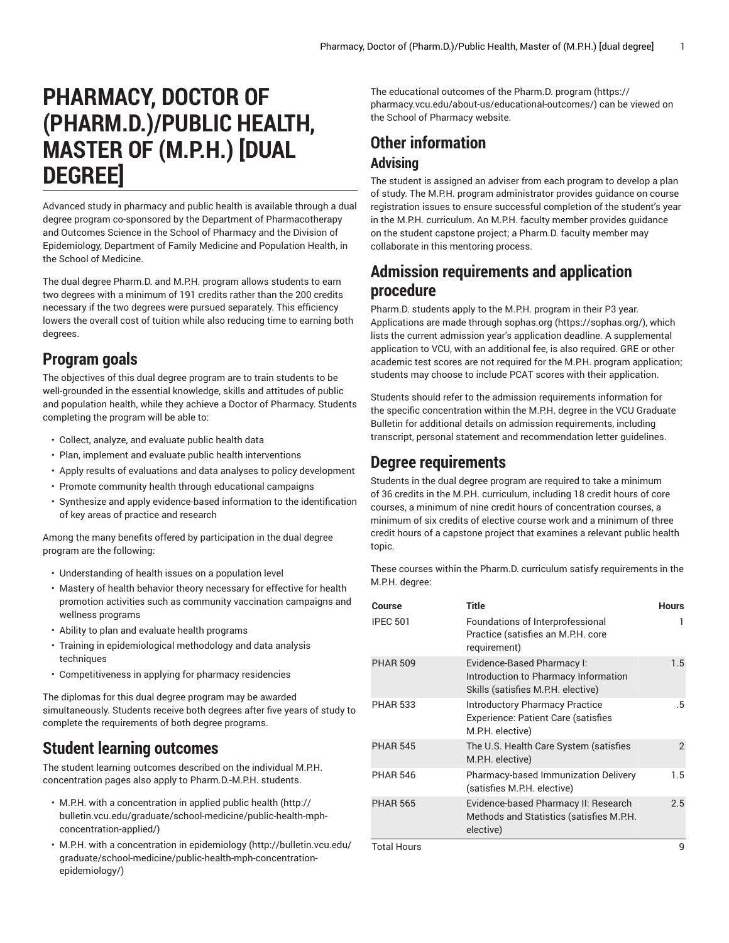# **PHARMACY, DOCTOR OF (PHARM.D.)/PUBLIC HEALTH, MASTER OF (M.P.H.) [DUAL DEGREE]**

Advanced study in pharmacy and public health is available through a dual degree program co-sponsored by the Department of Pharmacotherapy and Outcomes Science in the School of Pharmacy and the Division of Epidemiology, Department of Family Medicine and Population Health, in the School of Medicine.

The dual degree Pharm.D. and M.P.H. program allows students to earn two degrees with a minimum of 191 credits rather than the 200 credits necessary if the two degrees were pursued separately. This efficiency lowers the overall cost of tuition while also reducing time to earning both degrees.

#### **Program goals**

The objectives of this dual degree program are to train students to be well-grounded in the essential knowledge, skills and attitudes of public and population health, while they achieve a Doctor of Pharmacy. Students completing the program will be able to:

- Collect, analyze, and evaluate public health data
- Plan, implement and evaluate public health interventions
- Apply results of evaluations and data analyses to policy development
- Promote community health through educational campaigns
- Synthesize and apply evidence-based information to the identification of key areas of practice and research

Among the many benefits offered by participation in the dual degree program are the following:

- Understanding of health issues on a population level
- Mastery of health behavior theory necessary for effective for health promotion activities such as community vaccination campaigns and wellness programs
- Ability to plan and evaluate health programs
- Training in epidemiological methodology and data analysis techniques
- Competitiveness in applying for pharmacy residencies

The diplomas for this dual degree program may be awarded simultaneously. Students receive both degrees after five years of study to complete the requirements of both degree programs.

# **Student learning outcomes**

The student learning outcomes described on the individual M.P.H. concentration pages also apply to Pharm.D.-M.P.H. students.

- M.P.H. with a [concentration](http://bulletin.vcu.edu/graduate/school-medicine/public-health-mph-concentration-applied/) in applied public health [\(http://](http://bulletin.vcu.edu/graduate/school-medicine/public-health-mph-concentration-applied/) [bulletin.vcu.edu/graduate/school-medicine/public-health-mph](http://bulletin.vcu.edu/graduate/school-medicine/public-health-mph-concentration-applied/)[concentration-applied/\)](http://bulletin.vcu.edu/graduate/school-medicine/public-health-mph-concentration-applied/)
- M.P.H. with a [concentration](http://bulletin.vcu.edu/graduate/school-medicine/public-health-mph-concentration-epidemiology/) in epidemiology ([http://bulletin.vcu.edu/](http://bulletin.vcu.edu/graduate/school-medicine/public-health-mph-concentration-epidemiology/) [graduate/school-medicine/public-health-mph-concentration](http://bulletin.vcu.edu/graduate/school-medicine/public-health-mph-concentration-epidemiology/)[epidemiology/\)](http://bulletin.vcu.edu/graduate/school-medicine/public-health-mph-concentration-epidemiology/)

The [educational](https://pharmacy.vcu.edu/about-us/educational-outcomes/) outcomes of the Pharm.D. program ([https://](https://pharmacy.vcu.edu/about-us/educational-outcomes/) [pharmacy.vcu.edu/about-us/educational-outcomes/](https://pharmacy.vcu.edu/about-us/educational-outcomes/)) can be viewed on the School of Pharmacy website.

# **Other information Advising**

The student is assigned an adviser from each program to develop a plan of study. The M.P.H. program administrator provides guidance on course registration issues to ensure successful completion of the student's year in the M.P.H. curriculum. An M.P.H. faculty member provides guidance on the student capstone project; a Pharm.D. faculty member may collaborate in this mentoring process.

### **Admission requirements and application procedure**

Pharm.D. students apply to the M.P.H. program in their P3 year. Applications are made through [sophas.org](https://sophas.org/) ([https://sophas.org/\)](https://sophas.org/), which lists the current admission year's application deadline. A supplemental application to VCU, with an additional fee, is also required. GRE or other academic test scores are not required for the M.P.H. program application; students may choose to include PCAT scores with their application.

Students should refer to the admission requirements information for the specific concentration within the M.P.H. degree in the VCU Graduate Bulletin for additional details on admission requirements, including transcript, personal statement and recommendation letter guidelines.

### **Degree requirements**

Students in the dual degree program are required to take a minimum of 36 credits in the M.P.H. curriculum, including 18 credit hours of core courses, a minimum of nine credit hours of concentration courses, a minimum of six credits of elective course work and a minimum of three credit hours of a capstone project that examines a relevant public health topic.

These courses within the Pharm.D. curriculum satisfy requirements in the M.P.H. degree:

| Course             | <b>Title</b>                                                                                             | <b>Hours</b>   |
|--------------------|----------------------------------------------------------------------------------------------------------|----------------|
| <b>IPEC 501</b>    | Foundations of Interprofessional<br>Practice (satisfies an M.P.H. core<br>requirement)                   | ı              |
| <b>PHAR 509</b>    | Evidence-Based Pharmacy I:<br>Introduction to Pharmacy Information<br>Skills (satisfies M.P.H. elective) | 1.5            |
| <b>PHAR 533</b>    | Introductory Pharmacy Practice<br><b>Experience: Patient Care (satisfies</b><br>M.P.H. elective)         | .5             |
| <b>PHAR 545</b>    | The U.S. Health Care System (satisfies<br>M.P.H. elective)                                               | $\overline{2}$ |
| <b>PHAR 546</b>    | Pharmacy-based Immunization Delivery<br>(satisfies M.P.H. elective)                                      | 1.5            |
| <b>PHAR 565</b>    | Evidence-based Pharmacy II: Research<br>Methods and Statistics (satisfies M.P.H.<br>elective)            | 2.5            |
| <b>Total Hours</b> |                                                                                                          | 9              |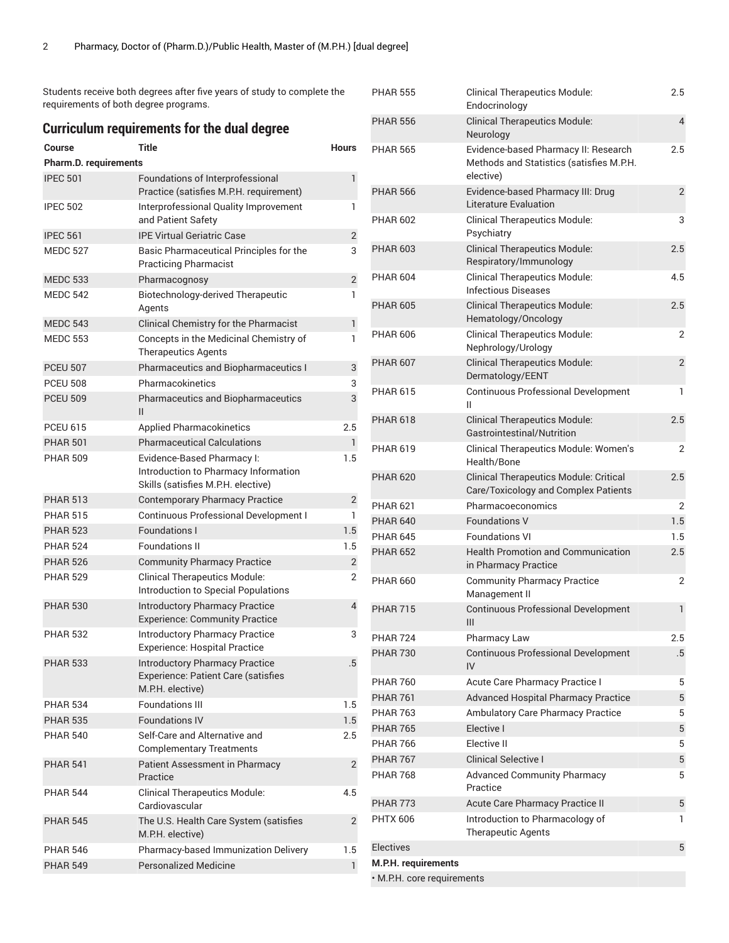Students receive both degrees after five years of study to complete the requirements of both degree programs.

| <b>Curriculum requirements for the dual degree</b> |                                                                                                          |                |  |  |
|----------------------------------------------------|----------------------------------------------------------------------------------------------------------|----------------|--|--|
| <b>Course</b>                                      | <b>Title</b>                                                                                             | <b>Hours</b>   |  |  |
| <b>Pharm.D. requirements</b>                       |                                                                                                          |                |  |  |
| <b>IPEC 501</b>                                    | Foundations of Interprofessional<br>Practice (satisfies M.P.H. requirement)                              | 1              |  |  |
| <b>IPEC 502</b>                                    | Interprofessional Quality Improvement<br>and Patient Safety                                              | 1              |  |  |
| <b>IPEC 561</b>                                    | <b>IPE Virtual Geriatric Case</b>                                                                        | 2              |  |  |
| <b>MEDC 527</b>                                    | Basic Pharmaceutical Principles for the<br><b>Practicing Pharmacist</b>                                  | 3              |  |  |
| <b>MEDC 533</b>                                    | Pharmacognosy                                                                                            | $\mathbf{2}$   |  |  |
| <b>MEDC 542</b>                                    | Biotechnology-derived Therapeutic<br>Agents                                                              | 1              |  |  |
| <b>MEDC 543</b>                                    | Clinical Chemistry for the Pharmacist                                                                    | 1              |  |  |
| <b>MEDC 553</b>                                    | Concepts in the Medicinal Chemistry of<br><b>Therapeutics Agents</b>                                     | 1              |  |  |
| <b>PCEU 507</b>                                    | Pharmaceutics and Biopharmaceutics I                                                                     | 3              |  |  |
| <b>PCEU 508</b>                                    | Pharmacokinetics                                                                                         | 3              |  |  |
| <b>PCEU 509</b>                                    | Pharmaceutics and Biopharmaceutics<br>Ш                                                                  | 3              |  |  |
| <b>PCEU 615</b>                                    | <b>Applied Pharmacokinetics</b>                                                                          | 2.5            |  |  |
| <b>PHAR 501</b>                                    | <b>Pharmaceutical Calculations</b>                                                                       | 1              |  |  |
| <b>PHAR 509</b>                                    | Evidence-Based Pharmacy I:<br>Introduction to Pharmacy Information<br>Skills (satisfies M.P.H. elective) | 1.5            |  |  |
| <b>PHAR 513</b>                                    | <b>Contemporary Pharmacy Practice</b>                                                                    | $\overline{2}$ |  |  |
| <b>PHAR 515</b>                                    | Continuous Professional Development I                                                                    | 1              |  |  |
| <b>PHAR 523</b>                                    | <b>Foundations I</b>                                                                                     | 1.5            |  |  |
| <b>PHAR 524</b>                                    | <b>Foundations II</b>                                                                                    | 1.5            |  |  |
| <b>PHAR 526</b>                                    | <b>Community Pharmacy Practice</b>                                                                       | 2              |  |  |
| <b>PHAR 529</b>                                    | <b>Clinical Therapeutics Module:</b><br>Introduction to Special Populations                              | 2              |  |  |
| <b>PHAR 530</b>                                    | <b>Introductory Pharmacy Practice</b><br><b>Experience: Community Practice</b>                           | 4              |  |  |
| <b>PHAR 532</b>                                    | <b>Introductory Pharmacy Practice</b><br><b>Experience: Hospital Practice</b>                            | 3              |  |  |
| <b>PHAR 533</b>                                    | <b>Introductory Pharmacy Practice</b><br><b>Experience: Patient Care (satisfies</b><br>M.P.H. elective)  | .5             |  |  |
| <b>PHAR 534</b>                                    | <b>Foundations III</b>                                                                                   | 1.5            |  |  |
| <b>PHAR 535</b>                                    | <b>Foundations IV</b>                                                                                    | 1.5            |  |  |
| <b>PHAR 540</b>                                    | Self-Care and Alternative and<br><b>Complementary Treatments</b>                                         | 2.5            |  |  |
| <b>PHAR 541</b>                                    | Patient Assessment in Pharmacy<br>Practice                                                               | $\overline{2}$ |  |  |
| <b>PHAR 544</b>                                    | <b>Clinical Therapeutics Module:</b><br>Cardiovascular                                                   | 4.5            |  |  |
| <b>PHAR 545</b>                                    | The U.S. Health Care System (satisfies<br>M.P.H. elective)                                               | $\overline{2}$ |  |  |
| <b>PHAR 546</b>                                    | Pharmacy-based Immunization Delivery                                                                     | 1.5            |  |  |
| <b>PHAR 549</b>                                    | <b>Personalized Medicine</b>                                                                             | 1              |  |  |
|                                                    |                                                                                                          |                |  |  |

| <b>PHAR 555</b>            | <b>Clinical Therapeutics Module:</b><br>Endocrinology                                 | 2.5            |
|----------------------------|---------------------------------------------------------------------------------------|----------------|
| <b>PHAR 556</b>            | <b>Clinical Therapeutics Module:</b><br>Neurology                                     | $\overline{4}$ |
| <b>PHAR 565</b>            | Evidence-based Pharmacy II: Research                                                  | 2.5            |
|                            | Methods and Statistics (satisfies M.P.H.<br>elective)                                 |                |
| <b>PHAR 566</b>            | Evidence-based Pharmacy III: Drug<br><b>Literature Evaluation</b>                     | $\overline{2}$ |
| <b>PHAR 602</b>            | <b>Clinical Therapeutics Module:</b><br>Psychiatry                                    | 3              |
| <b>PHAR 603</b>            | <b>Clinical Therapeutics Module:</b><br>Respiratory/Immunology                        | 2.5            |
| <b>PHAR 604</b>            | <b>Clinical Therapeutics Module:</b><br><b>Infectious Diseases</b>                    | 4.5            |
| <b>PHAR 605</b>            | <b>Clinical Therapeutics Module:</b><br>Hematology/Oncology                           | 2.5            |
| <b>PHAR 606</b>            | <b>Clinical Therapeutics Module:</b><br>Nephrology/Urology                            | 2              |
| <b>PHAR 607</b>            | <b>Clinical Therapeutics Module:</b><br>Dermatology/EENT                              | $\overline{2}$ |
| <b>PHAR 615</b>            | <b>Continuous Professional Development</b><br>$\mathbf{H}$                            | 1              |
| <b>PHAR 618</b>            | <b>Clinical Therapeutics Module:</b><br>Gastrointestinal/Nutrition                    | 2.5            |
| <b>PHAR 619</b>            | Clinical Therapeutics Module: Women's<br>Health/Bone                                  | 2              |
| <b>PHAR 620</b>            | <b>Clinical Therapeutics Module: Critical</b><br>Care/Toxicology and Complex Patients | 2.5            |
| <b>PHAR 621</b>            | Pharmacoeconomics                                                                     | 2              |
| <b>PHAR 640</b>            | <b>Foundations V</b>                                                                  | 1.5            |
| <b>PHAR 645</b>            | <b>Foundations VI</b>                                                                 | 1.5            |
| <b>PHAR 652</b>            | <b>Health Promotion and Communication</b><br>in Pharmacy Practice                     | 2.5            |
| <b>PHAR 660</b>            | <b>Community Pharmacy Practice</b><br>Management II                                   | 2              |
| <b>PHAR 715</b>            | <b>Continuous Professional Development</b><br>Ш                                       | $\mathbf{1}$   |
| <b>PHAR 724</b>            | Pharmacy Law                                                                          | 2.5            |
| <b>PHAR 730</b>            | <b>Continuous Professional Development</b><br>IV                                      | .5             |
| <b>PHAR 760</b>            | Acute Care Pharmacy Practice I                                                        | 5              |
| <b>PHAR 761</b>            | <b>Advanced Hospital Pharmacy Practice</b>                                            | 5              |
| <b>PHAR 763</b>            | Ambulatory Care Pharmacy Practice                                                     | 5              |
| <b>PHAR 765</b>            | Elective I                                                                            | 5              |
| <b>PHAR 766</b>            | Elective II                                                                           | 5              |
| <b>PHAR 767</b>            | <b>Clinical Selective I</b>                                                           | 5              |
| <b>PHAR 768</b>            | <b>Advanced Community Pharmacy</b><br>Practice                                        | 5              |
| <b>PHAR 773</b>            | Acute Care Pharmacy Practice II                                                       | 5              |
| <b>PHTX 606</b>            | Introduction to Pharmacology of<br><b>Therapeutic Agents</b>                          | 1              |
| <b>Electives</b>           |                                                                                       | 5              |
| M.P.H. requirements        |                                                                                       |                |
| · M.P.H. core requirements |                                                                                       |                |